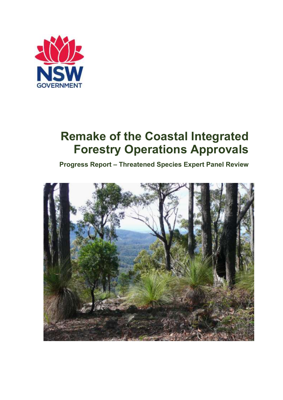

# **Remake of the Coastal Integrated Forestry Operations Approvals**

**Progress Report – Threatened Species Expert Panel Review**

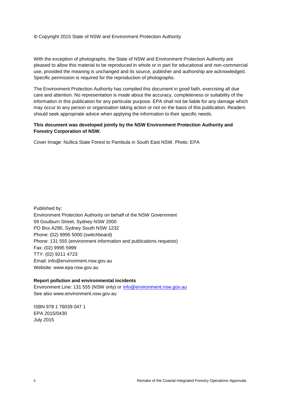© Copyright 2015 State of NSW and Environment Protection Authority

With the exception of photographs, the State of NSW and Environment Protection Authority are pleased to allow this material to be reproduced in whole or in part for educational and non-commercial use, provided the meaning is unchanged and its source, publisher and authorship are acknowledged. Specific permission is required for the reproduction of photographs.

The Environment Protection Authority has compiled this document in good faith, exercising all due care and attention. No representation is made about the accuracy, completeness or suitability of the information in this publication for any particular purpose. EPA shall not be liable for any damage which may occur to any person or organisation taking action or not on the basis of this publication. Readers should seek appropriate advice when applying the information to their specific needs.

#### **This document was developed jointly by the NSW Environment Protection Authority and Forestry Corporation of NSW.**

Cover Image: Nullica State Forest to Pambula in South East NSW. Photo: EPA

Published by: Environment Protection Authority on behalf of the NSW Government 59 Goulburn Street, Sydney NSW 2000 PO Box A290, Sydney South NSW 1232 Phone: (02) 9995 5000 (switchboard) Phone: 131 555 (environment information and publications requests) Fax: (02) 9995 5999 TTY: (02) 9211 4723 Email: info@environment.nsw.gov.au Website: www.epa.nsw.gov.au

#### **Report pollution and environmental incidents** Environment Line: 131 555 (NSW only) or [info@environment.nsw.gov.au](mailto:info@environment.nsw.gov.au)

See also www.environment.nsw.gov.au

ISBN 978 1 76039 047 1 EPA 2015/0430 July 2015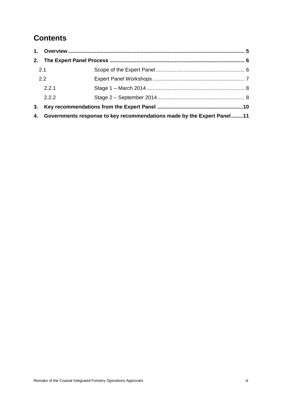### **Contents**

| 2.  |                                                                        |  |  |
|-----|------------------------------------------------------------------------|--|--|
| 2.1 |                                                                        |  |  |
|     | 2.2                                                                    |  |  |
|     | 2.2.1                                                                  |  |  |
|     | 2.2.2                                                                  |  |  |
| 3.  |                                                                        |  |  |
| 4.  | Governments response to key recommendations made by the Expert Panel11 |  |  |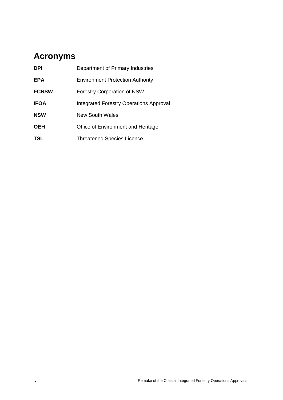# **Acronyms**

| <b>DPI</b>   | Department of Primary Industries        |
|--------------|-----------------------------------------|
| <b>EPA</b>   | <b>Environment Protection Authority</b> |
| <b>FCNSW</b> | <b>Forestry Corporation of NSW</b>      |
| <b>IFOA</b>  | Integrated Forestry Operations Approval |
| <b>NSW</b>   | New South Wales                         |
| <b>OEH</b>   | Office of Environment and Heritage      |
| <b>TSL</b>   | <b>Threatened Species Licence</b>       |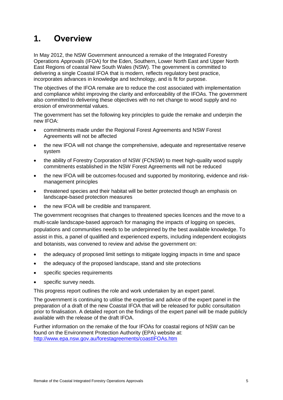### <span id="page-4-0"></span>**1. Overview**

In May 2012, the NSW Government announced a remake of the Integrated Forestry Operations Approvals (IFOA) for the Eden, Southern, Lower North East and Upper North East Regions of coastal New South Wales (NSW). The government is committed to delivering a single Coastal IFOA that is modern, reflects regulatory best practice, incorporates advances in knowledge and technology, and is fit for purpose.

The objectives of the IFOA remake are to reduce the cost associated with implementation and compliance whilst improving the clarity and enforceability of the IFOAs. The government also committed to delivering these objectives with no net change to wood supply and no erosion of environmental values.

The government has set the following key principles to guide the remake and underpin the new IFOA:

- commitments made under the Regional Forest Agreements and NSW Forest Agreements will not be affected
- the new IFOA will not change the comprehensive, adequate and representative reserve system
- the ability of Forestry Corporation of NSW (FCNSW) to meet high-quality wood supply commitments established in the NSW Forest Agreements will not be reduced
- the new IFOA will be outcomes-focused and supported by monitoring, evidence and riskmanagement principles
- threatened species and their habitat will be better protected though an emphasis on landscape-based protection measures
- the new IFOA will be credible and transparent.

The government recognises that changes to threatened species licences and the move to a multi-scale landscape-based approach for managing the impacts of logging on species, populations and communities needs to be underpinned by the best available knowledge. To assist in this, a panel of qualified and experienced experts, including independent ecologists and botanists, was convened to review and advise the government on:

- the adequacy of proposed limit settings to mitigate logging impacts in time and space
- the adequacy of the proposed landscape, stand and site protections
- specific species requirements
- specific survey needs.

This progress report outlines the role and work undertaken by an expert panel.

The government is continuing to utilise the expertise and advice of the expert panel in the preparation of a draft of the new Coastal IFOA that will be released for public consultation prior to finalisation. A detailed report on the findings of the expert panel will be made publicly available with the release of the draft IFOA.

Further information on the remake of the four IFOAs for coastal regions of NSW can be found on the Environment Protection Authority (EPA) website at: <http://www.epa.nsw.gov.au/forestagreements/coastIFOAs.htm>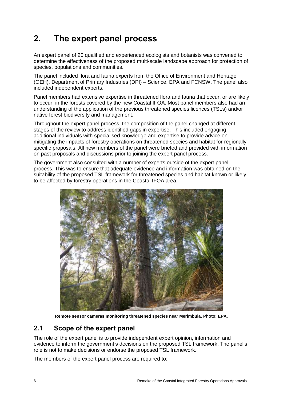# <span id="page-5-0"></span>**2. The expert panel process**

An expert panel of 20 qualified and experienced ecologists and botanists was convened to determine the effectiveness of the proposed multi-scale landscape approach for protection of species, populations and communities.

The panel included flora and fauna experts from the Office of Environment and Heritage (OEH), Department of Primary Industries (DPI) – Science, EPA and FCNSW. The panel also included independent experts.

Panel members had extensive expertise in threatened flora and fauna that occur, or are likely to occur, in the forests covered by the new Coastal IFOA. Most panel members also had an understanding of the application of the previous threatened species licences (TSLs) and/or native forest biodiversity and management.

Throughout the expert panel process, the composition of the panel changed at different stages of the review to address identified gaps in expertise. This included engaging additional individuals with specialised knowledge and expertise to provide advice on mitigating the impacts of forestry operations on threatened species and habitat for regionally specific proposals. All new members of the panel were briefed and provided with information on past proposals and discussions prior to joining the expert panel process.

The government also consulted with a number of experts outside of the expert panel process. This was to ensure that adequate evidence and information was obtained on the suitability of the proposed TSL framework for threatened species and habitat known or likely to be affected by forestry operations in the Coastal IFOA area.



**Remote sensor cameras monitoring threatened species near Merimbula. Photo: EPA.**

### <span id="page-5-1"></span>**2.1 Scope of the expert panel**

The role of the expert panel is to provide independent expert opinion, information and evidence to inform the government's decisions on the proposed TSL framework. The panel's role is not to make decisions or endorse the proposed TSL framework.

The members of the expert panel process are required to: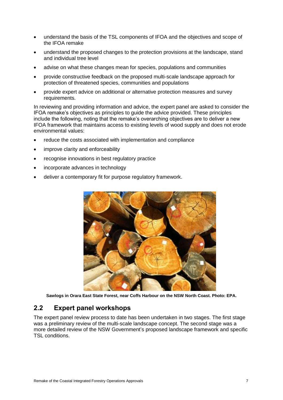- understand the basis of the TSL components of IFOA and the objectives and scope of the IFOA remake
- understand the proposed changes to the protection provisions at the landscape, stand and individual tree level
- advise on what these changes mean for species, populations and communities
- provide constructive feedback on the proposed multi-scale landscape approach for protection of threatened species, communities and populations
- provide expert advice on additional or alternative protection measures and survey requirements.

In reviewing and providing information and advice, the expert panel are asked to consider the IFOA remake's objectives as principles to guide the advice provided. These principles include the following, noting that the remake's overarching objectives are to deliver a new IFOA framework that maintains access to existing levels of wood supply and does not erode environmental values:

- reduce the costs associated with implementation and compliance
- improve clarity and enforceability
- recognise innovations in best regulatory practice
- incorporate advances in technology
- deliver a contemporary fit for purpose regulatory framework.



**Sawlogs in Orara East State Forest, near Coffs Harbour on the NSW North Coast. Photo: EPA.** 

### <span id="page-6-0"></span>**2.2 Expert panel workshops**

The expert panel review process to date has been undertaken in two stages. The first stage was a preliminary review of the multi-scale landscape concept. The second stage was a more detailed review of the NSW Government's proposed landscape framework and specific TSL conditions.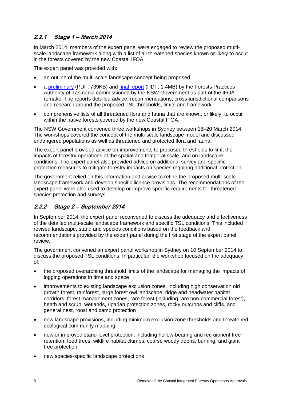### <span id="page-7-0"></span>**2.2.1 Stage 1 – March 2014**

In March 2014, members of the expert panel were engaged to review the proposed multiscale landscape framework along with a list of all threatened species known or likely to occur in the forests covered by the new Coastal IFOA.

The expert panel was provided with:

- an outline of the multi-scale landscape concept being proposed
- a [preliminary](http://www.epa.nsw.gov.au/resources/forestagreements/FPATSLremakePrelimrpt.pdf) (PDF, 739KB) and [final report](http://www.epa.nsw.gov.au/resources/forestagreements/FPATSLremakeFinalRpt.pdf) (PDF, 1.4MB) by the Forests Practices Authority of Tasmania commissioned by the NSW Government as part of the IFOA remake. The reports detailed advice, recommendations, cross-jurisdictional comparisons and research around the proposed TSL thresholds, limits and framework
- comprehensive lists of all threatened flora and fauna that are known, or likely, to occur within the native forests covered by the new Coastal IFOA.

The NSW Government convened three workshops in Sydney between 18–20 March 2014. The workshops covered the concept of the multi-scale landscape model and discussed endangered populations as well as threatened and protected flora and fauna.

The expert panel provided advice on improvements to proposed thresholds to limit the impacts of forestry operations at the spatial and temporal scale, and on landscape conditions. The expert panel also provided advice on additional survey and specific protection measures to mitigate forestry impacts on species requiring additional protection.

The government relied on this information and advice to refine the proposed multi-scale landscape framework and develop specific licence provisions. The recommendations of the expert panel were also used to develop or improve specific requirements for threatened species protection and surveys.

### <span id="page-7-1"></span>**2.2.2 Stage 2 – September 2014**

In September 2014, the expert panel reconvened to discuss the adequacy and effectiveness of the detailed multi-scale landscape framework and specific TSL conditions. This included revised landscape, stand and species conditions based on the feedback and recommendations provided by the expert panel during the first stage of the expert panel review.

The government convened an expert panel workshop in Sydney on 10 September 2014 to discuss the proposed TSL conditions. In particular, the workshop focused on the adequacy of:

- the proposed overarching threshold limits of the landscape for managing the impacts of logging operations in time and space
- improvements to existing landscape exclusion zones, including high conservation old growth forest, rainforest, large forest owl landscape, ridge and headwater habitat corridors, forest management zones, rare forest (including rare non-commercial forest), heath and scrub, wetlands, riparian protection zones, rocky outcrops and cliffs, and general nest, roost and camp protection
- new landscape provisions, including minimum exclusion zone thresholds and threatened ecological community mapping
- new or improved stand-level protection, including hollow-bearing and recruitment tree retention, feed trees, wildlife habitat clumps, coarse woody debris, burning, and giant tree protection
- new species-specific landscape protections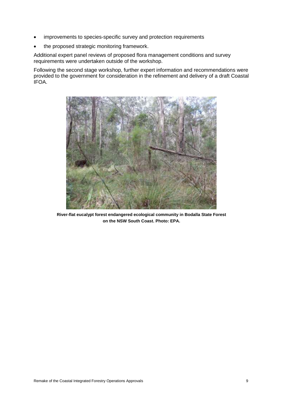- improvements to species-specific survey and protection requirements
- the proposed strategic monitoring framework.

Additional expert panel reviews of proposed flora management conditions and survey requirements were undertaken outside of the workshop.

Following the second stage workshop, further expert information and recommendations were provided to the government for consideration in the refinement and delivery of a draft Coastal IFOA.



**River-flat eucalypt forest endangered ecological community in Bodalla State Forest on the NSW South Coast. Photo: EPA.**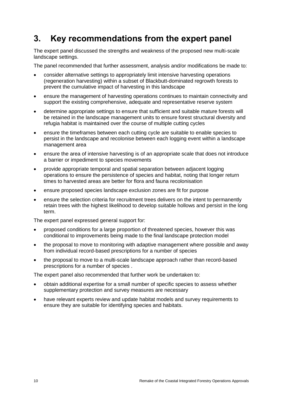### <span id="page-9-0"></span>**3. Key recommendations from the expert panel**

The expert panel discussed the strengths and weakness of the proposed new multi-scale landscape settings.

The panel recommended that further assessment, analysis and/or modifications be made to:

- consider alternative settings to appropriately limit intensive harvesting operations (regeneration harvesting) within a subset of Blackbutt-dominated regrowth forests to prevent the cumulative impact of harvesting in this landscape
- ensure the management of harvesting operations continues to maintain connectivity and support the existing comprehensive, adequate and representative reserve system
- determine appropriate settings to ensure that sufficient and suitable mature forests will be retained in the landscape management units to ensure forest structural diversity and refugia habitat is maintained over the course of multiple cutting cycles
- ensure the timeframes between each cutting cycle are suitable to enable species to persist in the landscape and recolonise between each logging event within a landscape management area
- ensure the area of intensive harvesting is of an appropriate scale that does not introduce a barrier or impediment to species movements
- provide appropriate temporal and spatial separation between adjacent logging operations to ensure the persistence of species and habitat, noting that longer return times to harvested areas are better for flora and fauna recolonisation
- ensure proposed species landscape exclusion zones are fit for purpose
- ensure the selection criteria for recruitment trees delivers on the intent to permanently retain trees with the highest likelihood to develop suitable hollows and persist in the long term.

The expert panel expressed general support for:

- proposed conditions for a large proportion of threatened species, however this was conditional to improvements being made to the final landscape protection model
- the proposal to move to monitoring with adaptive management where possible and away from individual record-based prescriptions for a number of species
- the proposal to move to a multi-scale landscape approach rather than record-based prescriptions for a number of species .

The expert panel also recommended that further work be undertaken to:

- obtain additional expertise for a small number of specific species to assess whether supplementary protection and survey measures are necessary
- have relevant experts review and update habitat models and survey requirements to ensure they are suitable for identifying species and habitats.